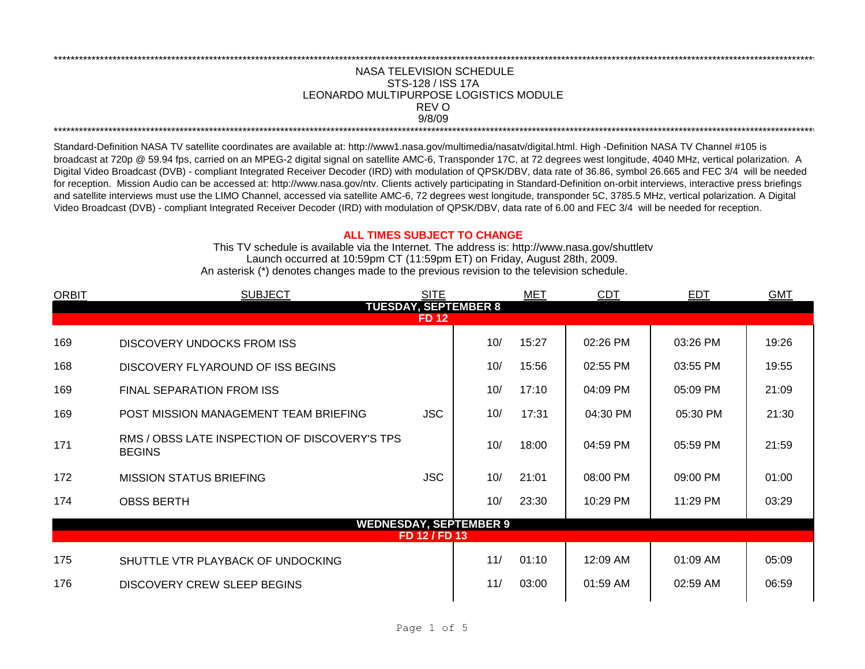## NASA TELEVISION SCHEDULE STS-128 / ISS 17A 9/8/09 \*\*\*\*\*\*\*\*\*\*\*\*\*\*\*\*\*\*\*\*\*\*\*\*\*\*\*\*\*\*\*\*\*\*\*\*\*\*\*\*\*\*\*\*\*\*\*\*\*\*\*\*\*\*\*\*\*\*\*\*\*\*\*\*\*\*\*\*\*\*\*\*\*\*\*\*\*\*\*\*\*\*\*\*\*\*\*\*\*\*\*\*\*\*\*\*\*\*\*\*\*\*\*\*\*\*\*\*\*\*\*\*\*\*\*\*\*\*\*\*\*\*\*\*\*\*\*\*\*\*\*\*\*\*\*\*\*\*\*\*\*\*\*\*\*\*\*\*\*\*\*\*\*\*\*\*\*\*\*\*\*\*\*\*\*\*\*\*\*\*\*\*\*\*\*\*\*\*\*\*\*\*\*\*\* REV O LEONARDO MULTIPURPOSE LOGISTICS MODULE

\*\*\*\*\*\*\*\*\*\*\*\*\*\*\*\*\*\*\*\*\*\*\*\*\*\*\*\*\*\*\*\*\*\*\*\*\*\*\*\*\*\*\*\*\*\*\*\*\*\*\*\*\*\*\*\*\*\*\*\*\*\*\*\*\*\*\*\*\*\*\*\*\*\*\*\*\*\*\*\*\*\*\*\*\*\*\*\*\*\*\*\*\*\*\*\*\*\*\*\*\*\*\*\*\*\*\*\*\*\*\*\*\*\*\*\*\*\*\*\*\*\*\*\*\*\*\*\*\*\*\*\*\*\*\*\*\*\*\*\*\*\*\*\*\*\*\*\*\*\*\*\*\*\*\*\*\*\*\*\*\*\*\*\*\*\*\*\*\*\*\*\*\*\*\*\*\*\*\*\*\*\*\*\*\*

Standard-Definition NASA TV satellite coordinates are available at: http://www1.nasa.gov/multimedia/nasatv/digital.html. High -Definition NASA TV Channel #105 is broadcast at 720p @ 59.94 fps, carried on an MPEG-2 digital signal on satellite AMC-6, Transponder 17C, at 72 degrees west longitude, 4040 MHz, vertical polarization. A Digital Video Broadcast (DVB) - compliant Integrated Receiver Decoder (IRD) with modulation of QPSK/DBV, data rate of 36.86, symbol 26.665 and FEC 3/4 will be needed for reception. Mission Audio can be accessed at: http://www.nasa.gov/ntv. Clients actively participating in Standard-Definition on-orbit interviews, interactive press briefings and satellite interviews must use the LIMO Channel, accessed via satellite AMC-6, 72 degrees west longitude, transponder 5C, 3785.5 MHz, vertical polarization. A Digital Video Broadcast (DVB) - compliant Integrated Receiver Decoder (IRD) with modulation of QPSK/DBV, data rate of 6.00 and FEC 3/4 will be needed for reception.

## **ALL TIMES SUBJECT TO CHANGE**

Launch occurred at 10:59pm CT (11:59pm ET) on Friday, August 28th, 2009. An asterisk (\*) denotes changes made to the previous revision to the television schedule. This TV schedule is available via the Internet. The address is: http://www.nasa.gov/shuttletv

| <b>ORBIT</b>                | <b>SUBJECT</b>                                                 | <b>SITE</b> |     | <b>MET</b> | <b>CDT</b> | <b>EDT</b> | <b>GMT</b> |  |  |  |
|-----------------------------|----------------------------------------------------------------|-------------|-----|------------|------------|------------|------------|--|--|--|
| <b>TUESDAY, SEPTEMBER 8</b> |                                                                |             |     |            |            |            |            |  |  |  |
| <b>FD 12</b>                |                                                                |             |     |            |            |            |            |  |  |  |
| 169                         | DISCOVERY UNDOCKS FROM ISS                                     |             | 10/ | 15:27      | 02:26 PM   | 03:26 PM   | 19:26      |  |  |  |
| 168                         | DISCOVERY FLYAROUND OF ISS BEGINS                              |             | 10/ | 15:56      | 02:55 PM   | 03:55 PM   | 19:55      |  |  |  |
| 169                         | <b>FINAL SEPARATION FROM ISS</b>                               |             | 10/ | 17:10      | 04:09 PM   | 05:09 PM   | 21:09      |  |  |  |
| 169                         | POST MISSION MANAGEMENT TEAM BRIEFING                          | <b>JSC</b>  | 10/ | 17:31      | 04:30 PM   | 05:30 PM   | 21:30      |  |  |  |
| 171                         | RMS / OBSS LATE INSPECTION OF DISCOVERY'S TPS<br><b>BEGINS</b> |             | 10/ | 18:00      | 04:59 PM   | 05:59 PM   | 21:59      |  |  |  |
| 172                         | <b>MISSION STATUS BRIEFING</b>                                 | <b>JSC</b>  | 10/ | 21:01      | 08:00 PM   | 09:00 PM   | 01:00      |  |  |  |
| 174                         | <b>OBSS BERTH</b>                                              |             | 10/ | 23:30      | 10:29 PM   | 11:29 PM   | 03:29      |  |  |  |
|                             | <b>WEDNESDAY, SEPTEMBER 9</b>                                  |             |     |            |            |            |            |  |  |  |
| FD 12 / FD 13               |                                                                |             |     |            |            |            |            |  |  |  |
| 175                         | SHUTTLE VTR PLAYBACK OF UNDOCKING                              |             | 11/ | 01:10      | 12:09 AM   | 01:09 AM   | 05:09      |  |  |  |
| 176                         | DISCOVERY CREW SLEEP BEGINS                                    |             | 11/ | 03:00      | $01:59$ AM | 02:59 AM   | 06:59      |  |  |  |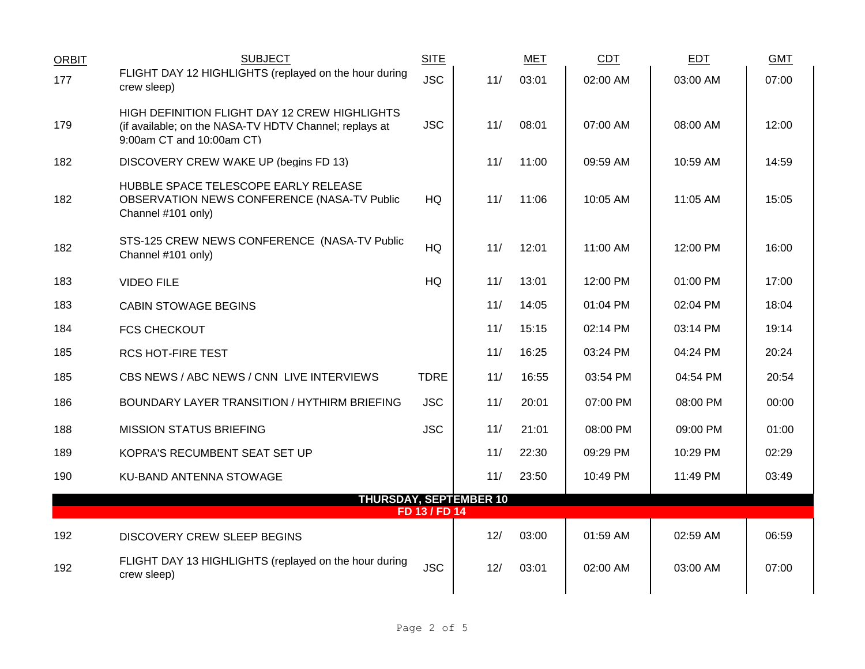| <b>ORBIT</b>                                   | <b>SUBJECT</b>                                                                                                                       | <b>SITE</b> |     | <b>MET</b> | <b>CDT</b> | <b>EDT</b> | <b>GMT</b> |  |
|------------------------------------------------|--------------------------------------------------------------------------------------------------------------------------------------|-------------|-----|------------|------------|------------|------------|--|
| 177                                            | FLIGHT DAY 12 HIGHLIGHTS (replayed on the hour during<br>crew sleep)                                                                 | <b>JSC</b>  | 11/ | 03:01      | 02:00 AM   | 03:00 AM   | 07:00      |  |
| 179                                            | HIGH DEFINITION FLIGHT DAY 12 CREW HIGHLIGHTS<br>(if available; on the NASA-TV HDTV Channel; replays at<br>9:00am CT and 10:00am CT) | <b>JSC</b>  | 11/ | 08:01      | 07:00 AM   | 08:00 AM   | 12:00      |  |
| 182                                            | DISCOVERY CREW WAKE UP (begins FD 13)                                                                                                |             | 11/ | 11:00      | 09:59 AM   | 10:59 AM   | 14:59      |  |
| 182                                            | HUBBLE SPACE TELESCOPE EARLY RELEASE<br>OBSERVATION NEWS CONFERENCE (NASA-TV Public<br>Channel #101 only)                            | <b>HQ</b>   | 11/ | 11:06      | 10:05 AM   | 11:05 AM   | 15:05      |  |
| 182                                            | STS-125 CREW NEWS CONFERENCE (NASA-TV Public<br>Channel #101 only)                                                                   | <b>HQ</b>   | 11/ | 12:01      | 11:00 AM   | 12:00 PM   | 16:00      |  |
| 183                                            | <b>VIDEO FILE</b>                                                                                                                    | HQ          | 11/ | 13:01      | 12:00 PM   | 01:00 PM   | 17:00      |  |
| 183                                            | <b>CABIN STOWAGE BEGINS</b>                                                                                                          |             | 11/ | 14:05      | 01:04 PM   | 02:04 PM   | 18:04      |  |
| 184                                            | <b>FCS CHECKOUT</b>                                                                                                                  |             | 11/ | 15:15      | 02:14 PM   | 03:14 PM   | 19:14      |  |
| 185                                            | <b>RCS HOT-FIRE TEST</b>                                                                                                             |             | 11/ | 16:25      | 03:24 PM   | 04:24 PM   | 20:24      |  |
| 185                                            | CBS NEWS / ABC NEWS / CNN LIVE INTERVIEWS                                                                                            | <b>TDRE</b> | 11/ | 16:55      | 03:54 PM   | 04:54 PM   | 20:54      |  |
| 186                                            | BOUNDARY LAYER TRANSITION / HYTHIRM BRIEFING                                                                                         | <b>JSC</b>  | 11/ | 20:01      | 07:00 PM   | 08:00 PM   | 00:00      |  |
| 188                                            | <b>MISSION STATUS BRIEFING</b>                                                                                                       | <b>JSC</b>  | 11/ | 21:01      | 08:00 PM   | 09:00 PM   | 01:00      |  |
| 189                                            | KOPRA'S RECUMBENT SEAT SET UP                                                                                                        |             | 11/ | 22:30      | 09:29 PM   | 10:29 PM   | 02:29      |  |
| 190                                            | KU-BAND ANTENNA STOWAGE                                                                                                              |             | 11/ | 23:50      | 10:49 PM   | 11:49 PM   | 03:49      |  |
| <b>THURSDAY, SEPTEMBER 10</b><br>FD 13 / FD 14 |                                                                                                                                      |             |     |            |            |            |            |  |
| 192                                            | DISCOVERY CREW SLEEP BEGINS                                                                                                          |             | 12/ | 03:00      | 01:59 AM   | 02:59 AM   | 06:59      |  |
| 192                                            | FLIGHT DAY 13 HIGHLIGHTS (replayed on the hour during<br>crew sleep)                                                                 | <b>JSC</b>  | 12/ | 03:01      | 02:00 AM   | 03:00 AM   | 07:00      |  |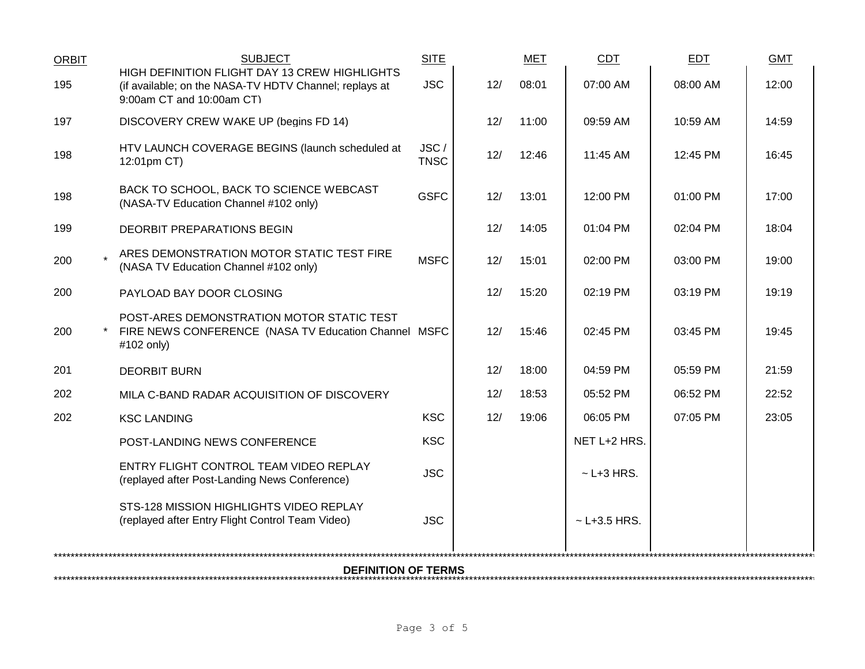| <b>ORBIT</b>               | <b>SUBJECT</b>                                                                                                                       | <b>SITE</b>         |     | <b>MET</b> | <b>CDT</b>       | <b>EDT</b> | <b>GMT</b> |  |  |
|----------------------------|--------------------------------------------------------------------------------------------------------------------------------------|---------------------|-----|------------|------------------|------------|------------|--|--|
| 195                        | HIGH DEFINITION FLIGHT DAY 13 CREW HIGHLIGHTS<br>(if available; on the NASA-TV HDTV Channel; replays at<br>9:00am CT and 10:00am CT) | <b>JSC</b>          | 12/ | 08:01      | 07:00 AM         | 08:00 AM   | 12:00      |  |  |
| 197                        | DISCOVERY CREW WAKE UP (begins FD 14)                                                                                                |                     | 12/ | 11:00      | 09:59 AM         | 10:59 AM   | 14:59      |  |  |
| 198                        | HTV LAUNCH COVERAGE BEGINS (launch scheduled at<br>12:01pm CT)                                                                       | JSC/<br><b>TNSC</b> | 12/ | 12:46      | $11:45$ AM       | 12:45 PM   | 16:45      |  |  |
| 198                        | BACK TO SCHOOL, BACK TO SCIENCE WEBCAST<br>(NASA-TV Education Channel #102 only)                                                     | <b>GSFC</b>         | 12/ | 13:01      | 12:00 PM         | 01:00 PM   | 17:00      |  |  |
| 199                        | DEORBIT PREPARATIONS BEGIN                                                                                                           |                     | 12/ | 14:05      | 01:04 PM         | 02:04 PM   | 18:04      |  |  |
| 200                        | ARES DEMONSTRATION MOTOR STATIC TEST FIRE<br>(NASA TV Education Channel #102 only)                                                   | <b>MSFC</b>         | 12/ | 15:01      | 02:00 PM         | 03:00 PM   | 19:00      |  |  |
| 200                        | PAYLOAD BAY DOOR CLOSING                                                                                                             |                     | 12/ | 15:20      | 02:19 PM         | 03:19 PM   | 19:19      |  |  |
| 200                        | POST-ARES DEMONSTRATION MOTOR STATIC TEST<br>FIRE NEWS CONFERENCE (NASA TV Education Channel MSFC<br>#102 only)                      |                     | 12/ | 15:46      | 02:45 PM         | 03:45 PM   | 19:45      |  |  |
| 201                        | <b>DEORBIT BURN</b>                                                                                                                  |                     | 12/ | 18:00      | 04:59 PM         | 05:59 PM   | 21:59      |  |  |
| 202                        | MILA C-BAND RADAR ACQUISITION OF DISCOVERY                                                                                           |                     | 12/ | 18:53      | 05:52 PM         | 06:52 PM   | 22:52      |  |  |
| 202                        | <b>KSC LANDING</b>                                                                                                                   | <b>KSC</b>          | 12/ | 19:06      | 06:05 PM         | 07:05 PM   | 23:05      |  |  |
|                            | POST-LANDING NEWS CONFERENCE                                                                                                         | <b>KSC</b>          |     |            | NET L+2 HRS.     |            |            |  |  |
|                            | ENTRY FLIGHT CONTROL TEAM VIDEO REPLAY<br>(replayed after Post-Landing News Conference)                                              | <b>JSC</b>          |     |            | $\sim$ L+3 HRS.  |            |            |  |  |
|                            | STS-128 MISSION HIGHLIGHTS VIDEO REPLAY<br>(replayed after Entry Flight Control Team Video)                                          | <b>JSC</b>          |     |            | $~$ - L+3.5 HRS. |            |            |  |  |
| <b>DEFINITION OF TERMS</b> |                                                                                                                                      |                     |     |            |                  |            |            |  |  |
|                            |                                                                                                                                      |                     |     |            |                  |            |            |  |  |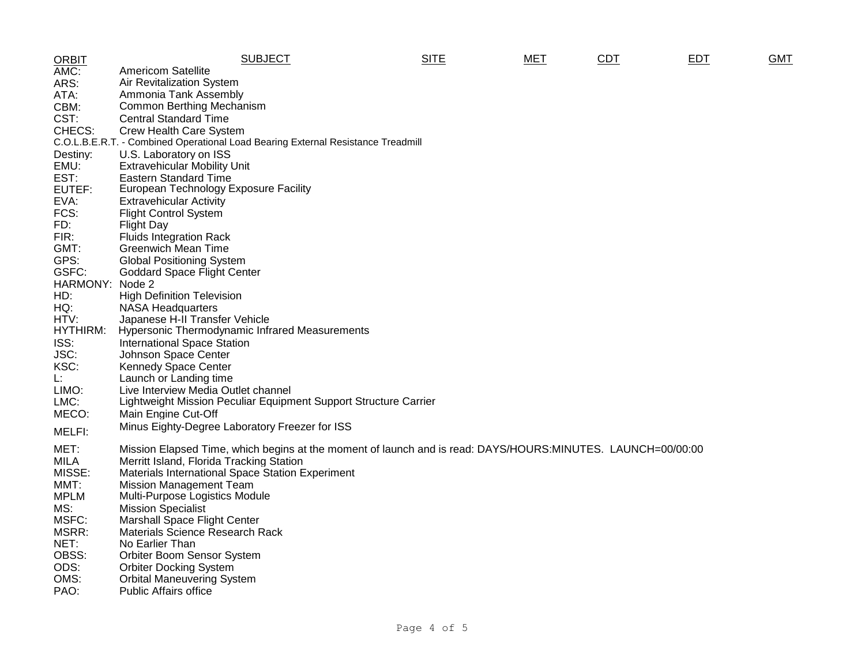| <b>ORBIT</b> | <b>SUBJECT</b>                                                                                              | <b>SITE</b> | MET | CDT | <b>EDT</b> | <b>GMT</b> |
|--------------|-------------------------------------------------------------------------------------------------------------|-------------|-----|-----|------------|------------|
| AMC:         | <b>Americom Satellite</b>                                                                                   |             |     |     |            |            |
| ARS:         | Air Revitalization System                                                                                   |             |     |     |            |            |
| ATA:         | Ammonia Tank Assembly                                                                                       |             |     |     |            |            |
| CBM:         | Common Berthing Mechanism                                                                                   |             |     |     |            |            |
| CST:         | <b>Central Standard Time</b>                                                                                |             |     |     |            |            |
| CHECS:       | Crew Health Care System                                                                                     |             |     |     |            |            |
|              | C.O.L.B.E.R.T. - Combined Operational Load Bearing External Resistance Treadmill                            |             |     |     |            |            |
| Destiny:     | U.S. Laboratory on ISS                                                                                      |             |     |     |            |            |
| EMU:         | <b>Extravehicular Mobility Unit</b>                                                                         |             |     |     |            |            |
| EST:         | <b>Eastern Standard Time</b>                                                                                |             |     |     |            |            |
| EUTEF:       | European Technology Exposure Facility                                                                       |             |     |     |            |            |
| EVA:         | <b>Extravehicular Activity</b>                                                                              |             |     |     |            |            |
| FCS:         | <b>Flight Control System</b>                                                                                |             |     |     |            |            |
| FD:          | <b>Flight Day</b>                                                                                           |             |     |     |            |            |
| FIR:         | <b>Fluids Integration Rack</b>                                                                              |             |     |     |            |            |
| GMT:         | <b>Greenwich Mean Time</b>                                                                                  |             |     |     |            |            |
| GPS:         | <b>Global Positioning System</b>                                                                            |             |     |     |            |            |
| GSFC:        | <b>Goddard Space Flight Center</b>                                                                          |             |     |     |            |            |
| HARMONY:     | Node 2                                                                                                      |             |     |     |            |            |
| HD:          | <b>High Definition Television</b>                                                                           |             |     |     |            |            |
| HQ:          | <b>NASA Headquarters</b>                                                                                    |             |     |     |            |            |
| HTV:         | Japanese H-II Transfer Vehicle                                                                              |             |     |     |            |            |
| HYTHIRM:     | <b>Hypersonic Thermodynamic Infrared Measurements</b>                                                       |             |     |     |            |            |
| ISS:         | <b>International Space Station</b>                                                                          |             |     |     |            |            |
| JSC:         | Johnson Space Center                                                                                        |             |     |     |            |            |
| KSC:         | <b>Kennedy Space Center</b>                                                                                 |             |     |     |            |            |
| Ŀ.           | Launch or Landing time                                                                                      |             |     |     |            |            |
| LIMO:        | Live Interview Media Outlet channel                                                                         |             |     |     |            |            |
| LMC:         | Lightweight Mission Peculiar Equipment Support Structure Carrier                                            |             |     |     |            |            |
| MECO:        | Main Engine Cut-Off                                                                                         |             |     |     |            |            |
| MELFI:       | Minus Eighty-Degree Laboratory Freezer for ISS                                                              |             |     |     |            |            |
|              |                                                                                                             |             |     |     |            |            |
| MET:         | Mission Elapsed Time, which begins at the moment of launch and is read: DAYS/HOURS:MINUTES. LAUNCH=00/00:00 |             |     |     |            |            |
| <b>MILA</b>  | Merritt Island, Florida Tracking Station                                                                    |             |     |     |            |            |
| MISSE:       | Materials International Space Station Experiment                                                            |             |     |     |            |            |
| MMT:         | <b>Mission Management Team</b>                                                                              |             |     |     |            |            |
| <b>MPLM</b>  | Multi-Purpose Logistics Module                                                                              |             |     |     |            |            |
| MS:          | <b>Mission Specialist</b>                                                                                   |             |     |     |            |            |
| MSFC:        | <b>Marshall Space Flight Center</b>                                                                         |             |     |     |            |            |
| MSRR:        | Materials Science Research Rack                                                                             |             |     |     |            |            |
| NET:         | No Earlier Than                                                                                             |             |     |     |            |            |
| OBSS:        | Orbiter Boom Sensor System                                                                                  |             |     |     |            |            |
| ODS:         | <b>Orbiter Docking System</b>                                                                               |             |     |     |            |            |
| OMS:         | <b>Orbital Maneuvering System</b>                                                                           |             |     |     |            |            |
| PAO:         | <b>Public Affairs office</b>                                                                                |             |     |     |            |            |